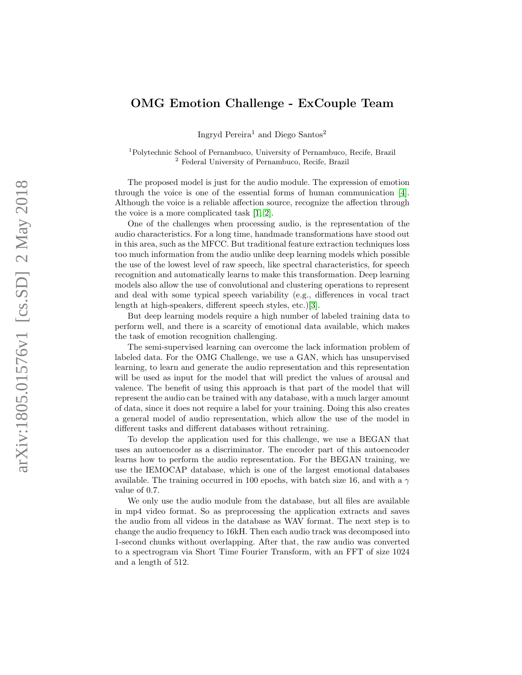## OMG Emotion Challenge - ExCouple Team

Ingryd Pereira <sup>1</sup> and Diego Santos 2

<sup>1</sup>Polytechnic School of Pernambuco, University of Pernambuco, Recife, Brazil <sup>2</sup> Federal University of Pernambuco, Recife, Brazil

The proposed model is just for the audio module. The expression of emotion through the voice is one of the essential forms of human communication [\[4\]](#page-3-0). Although the voice is a reliable affection source, recognize the affection through the voice is a more complicated task [\[1,](#page-3-1) [2\]](#page-3-2).

One of the challenges when processing audio, is the representation of the audio characteristics. For a long time, handmade transformations have stood out in this area, such as the MFCC. But traditional feature extraction techniques loss too much information from the audio unlike deep learning models which possible the use of the lowest level of raw speech, like spectral characteristics, for speech recognition and automatically learns to make this transformation. Deep learning models also allow the use of convolutional and clustering operations to represent and deal with some typical speech variability (e.g., differences in vocal tract length at high-speakers, different speech styles, etc.)[\[3\]](#page-3-3).

But deep learning models require a high number of labeled training data to perform well, and there is a scarcity of emotional data available, which makes the task of emotion recognition challenging.

The semi-supervised learning can overcome the lack information problem of labeled data. For the OMG Challenge, we use a GAN, which has unsupervised learning, to learn and generate the audio representation and this representation will be used as input for the model that will predict the values of arousal and valence. The benefit of using this approach is that part of the model that will represent the audio can be trained with any database, with a much larger amount of data, since it does not require a label for your training. Doing this also creates a general model of audio representation, which allow the use of the model in different tasks and different databases without retraining.

To develop the application used for this challenge, we use a BEGAN that uses an autoencoder as a discriminator. The encoder part of this autoencoder learns how to perform the audio representation. For the BEGAN training, we use the IEMOCAP database, which is one of the largest emotional databases available. The training occurred in 100 epochs, with batch size 16, and with a  $\gamma$ value of 0.7.

We only use the audio module from the database, but all files are available in mp4 video format. So as preprocessing the application extracts and saves the audio from all videos in the database as WAV format. The next step is to change the audio frequency to 16kH. Then each audio track was decomposed into 1-second chunks without overlapping. After that, the raw audio was converted to a spectrogram via Short Time Fourier Transform, with an FFT of size 1024 and a length of 512.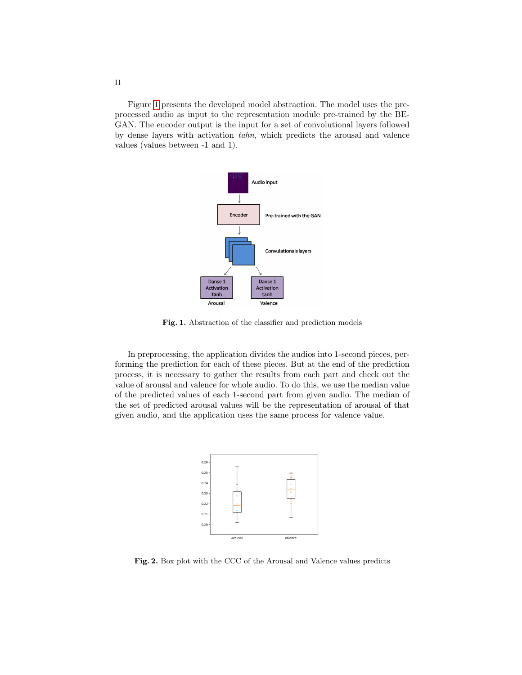Figure [1](#page-1-0) presents the developed model abstraction. The model uses the preprocessed audio as input to the representation module pre-trained by the BE-GAN. The encoder output is the input for a set of convolutional layers followed by dense layers with activation tahn, which predicts the arousal and valence values (values between -1 and 1).



<span id="page-1-0"></span>Fig. 1. Abstraction of the classifier and prediction models

In preprocessing, the application divides the audios into 1-second pieces, performing the prediction for each of these pieces. But at the end of the prediction process, it is necessary to gather the results from each part and check out the value of arousal and valence for whole audio. To do this, we use the median value of the predicted values of each 1-second part from given audio. The median of the set of predicted arousal values will be the representation of arousal of that given audio, and the application uses the same process for valence value.



<span id="page-1-1"></span>Fig. 2. Box plot with the CCC of the Arousal and Valence values predicts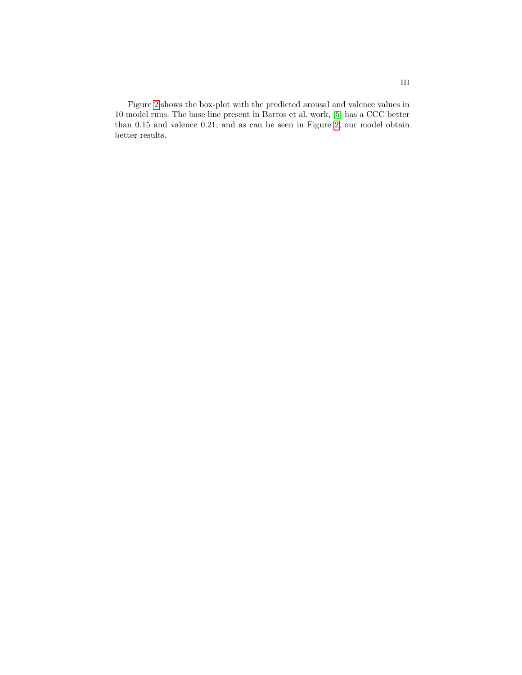Figure [2](#page-1-1) shows the box-plot with the predicted arousal and valence values in 10 model runs. The base line present in Barros et al. work, [\[5\]](#page-3-4) has a CCC better than 0.15 and valence 0.21, and as can be seen in Figure [2,](#page-1-1) our model obtain better results.